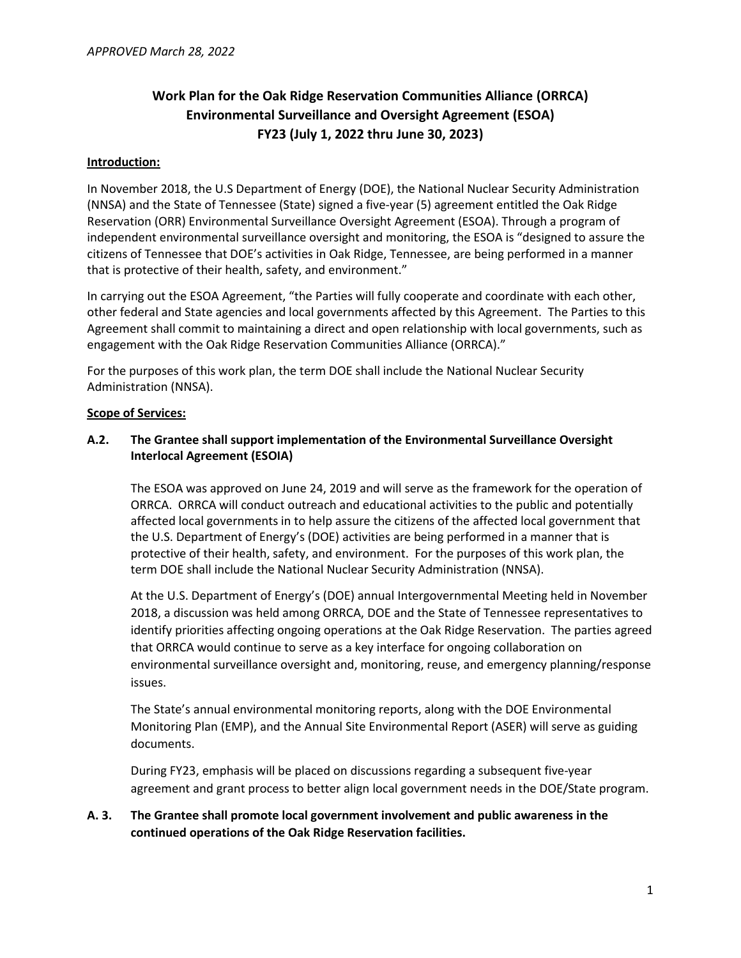# **Work Plan for the Oak Ridge Reservation Communities Alliance (ORRCA) Environmental Surveillance and Oversight Agreement (ESOA) FY23 (July 1, 2022 thru June 30, 2023)**

### **Introduction:**

In November 2018, the U.S Department of Energy (DOE), the National Nuclear Security Administration (NNSA) and the State of Tennessee (State) signed a five-year (5) agreement entitled the Oak Ridge Reservation (ORR) Environmental Surveillance Oversight Agreement (ESOA). Through a program of independent environmental surveillance oversight and monitoring, the ESOA is "designed to assure the citizens of Tennessee that DOE's activities in Oak Ridge, Tennessee, are being performed in a manner that is protective of their health, safety, and environment."

In carrying out the ESOA Agreement, "the Parties will fully cooperate and coordinate with each other, other federal and State agencies and local governments affected by this Agreement. The Parties to this Agreement shall commit to maintaining a direct and open relationship with local governments, such as engagement with the Oak Ridge Reservation Communities Alliance (ORRCA)."

For the purposes of this work plan, the term DOE shall include the National Nuclear Security Administration (NNSA).

### **Scope of Services:**

## **A.2. The Grantee shall support implementation of the Environmental Surveillance Oversight Interlocal Agreement (ESOIA)**

The ESOA was approved on June 24, 2019 and will serve as the framework for the operation of ORRCA. ORRCA will conduct outreach and educational activities to the public and potentially affected local governments in to help assure the citizens of the affected local government that the U.S. Department of Energy's (DOE) activities are being performed in a manner that is protective of their health, safety, and environment. For the purposes of this work plan, the term DOE shall include the National Nuclear Security Administration (NNSA).

At the U.S. Department of Energy's (DOE) annual Intergovernmental Meeting held in November 2018, a discussion was held among ORRCA, DOE and the State of Tennessee representatives to identify priorities affecting ongoing operations at the Oak Ridge Reservation. The parties agreed that ORRCA would continue to serve as a key interface for ongoing collaboration on environmental surveillance oversight and, monitoring, reuse, and emergency planning/response issues.

The State's annual environmental monitoring reports, along with the DOE Environmental Monitoring Plan (EMP), and the Annual Site Environmental Report (ASER) will serve as guiding documents.

During FY23, emphasis will be placed on discussions regarding a subsequent five-year agreement and grant process to better align local government needs in the DOE/State program.

# **A. 3. The Grantee shall promote local government involvement and public awareness in the continued operations of the Oak Ridge Reservation facilities.**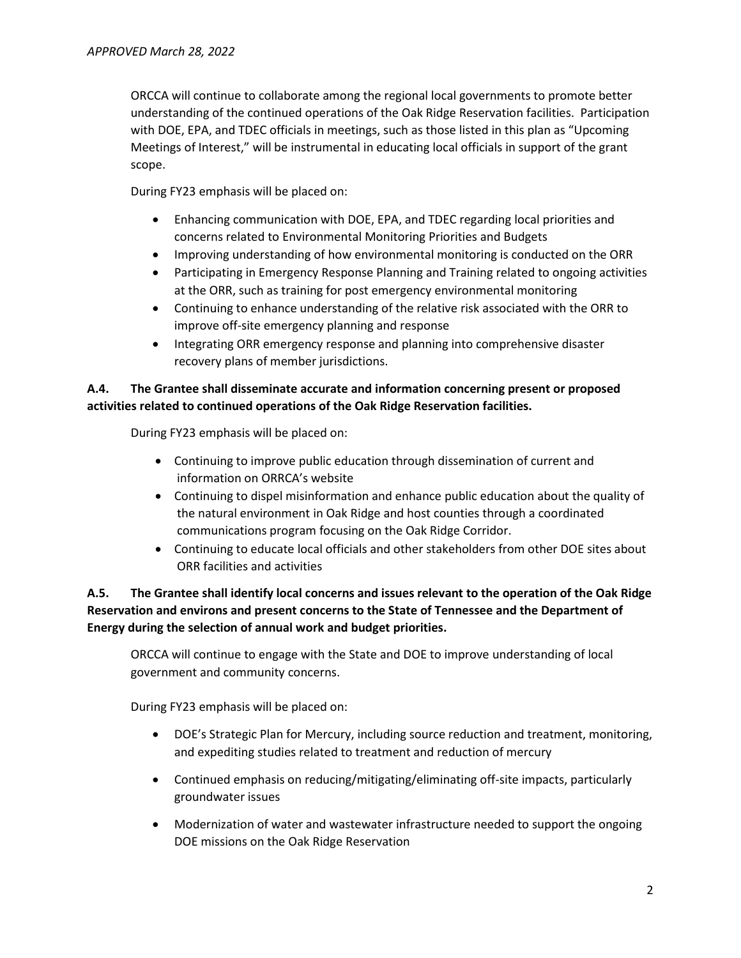ORCCA will continue to collaborate among the regional local governments to promote better understanding of the continued operations of the Oak Ridge Reservation facilities. Participation with DOE, EPA, and TDEC officials in meetings, such as those listed in this plan as "Upcoming Meetings of Interest," will be instrumental in educating local officials in support of the grant scope.

During FY23 emphasis will be placed on:

- Enhancing communication with DOE, EPA, and TDEC regarding local priorities and concerns related to Environmental Monitoring Priorities and Budgets
- Improving understanding of how environmental monitoring is conducted on the ORR
- Participating in Emergency Response Planning and Training related to ongoing activities at the ORR, such as training for post emergency environmental monitoring
- Continuing to enhance understanding of the relative risk associated with the ORR to improve off-site emergency planning and response
- Integrating ORR emergency response and planning into comprehensive disaster recovery plans of member jurisdictions.

# **A.4. The Grantee shall disseminate accurate and information concerning present or proposed activities related to continued operations of the Oak Ridge Reservation facilities.**

During FY23 emphasis will be placed on:

- Continuing to improve public education through dissemination of current and information on ORRCA's website
- Continuing to dispel misinformation and enhance public education about the quality of the natural environment in Oak Ridge and host counties through a coordinated communications program focusing on the Oak Ridge Corridor.
- Continuing to educate local officials and other stakeholders from other DOE sites about ORR facilities and activities

# **A.5. The Grantee shall identify local concerns and issues relevant to the operation of the Oak Ridge Reservation and environs and present concerns to the State of Tennessee and the Department of Energy during the selection of annual work and budget priorities.**

ORCCA will continue to engage with the State and DOE to improve understanding of local government and community concerns.

During FY23 emphasis will be placed on:

- DOE's Strategic Plan for Mercury, including source reduction and treatment, monitoring, and expediting studies related to treatment and reduction of mercury
- Continued emphasis on reducing/mitigating/eliminating off-site impacts, particularly groundwater issues
- Modernization of water and wastewater infrastructure needed to support the ongoing DOE missions on the Oak Ridge Reservation